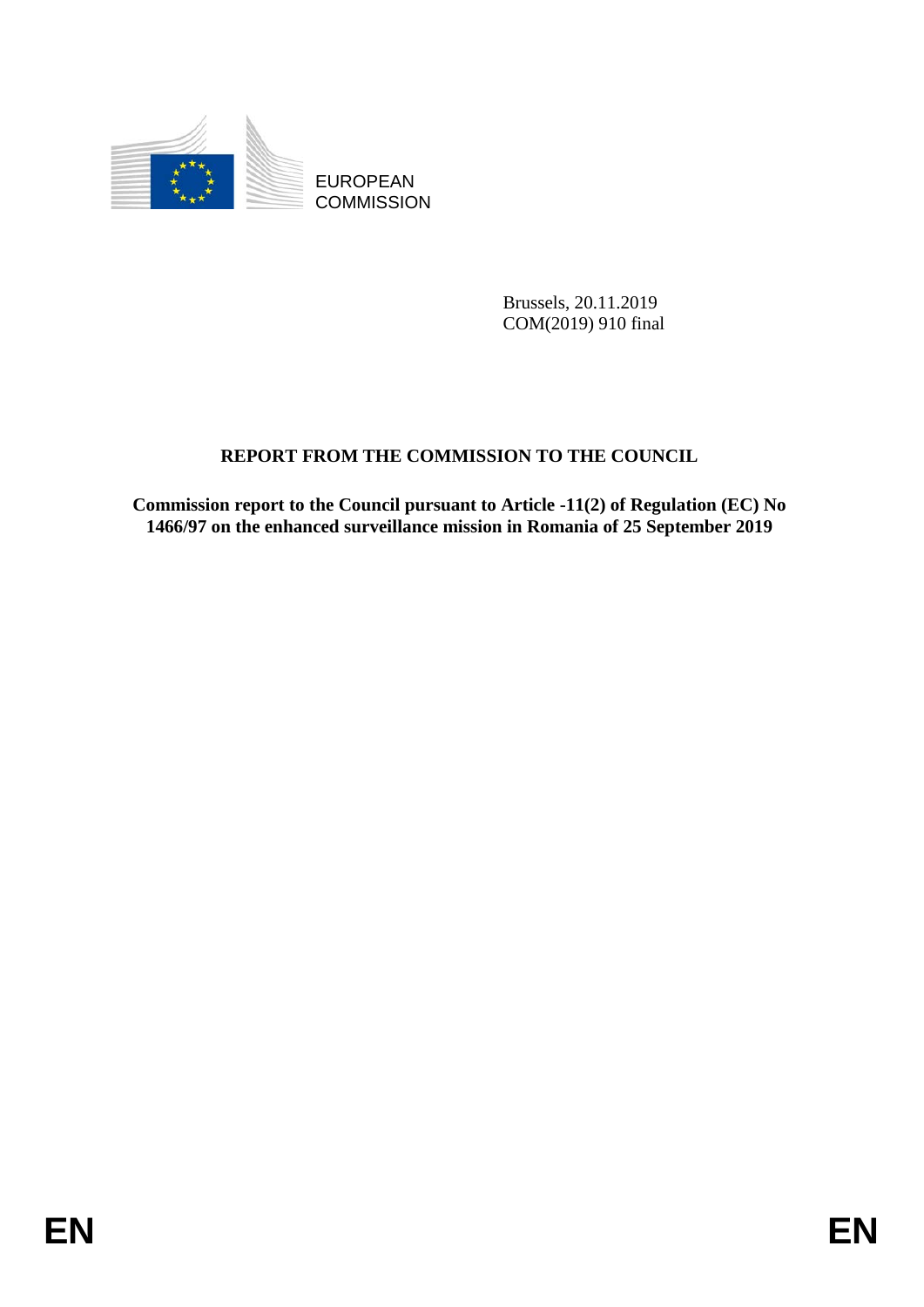

EUROPEAN **COMMISSION** 

> Brussels, 20.11.2019 COM(2019) 910 final

# **REPORT FROM THE COMMISSION TO THE COUNCIL**

**Commission report to the Council pursuant to Article -11(2) of Regulation (EC) No 1466/97 on the enhanced surveillance mission in Romania of 25 September 2019**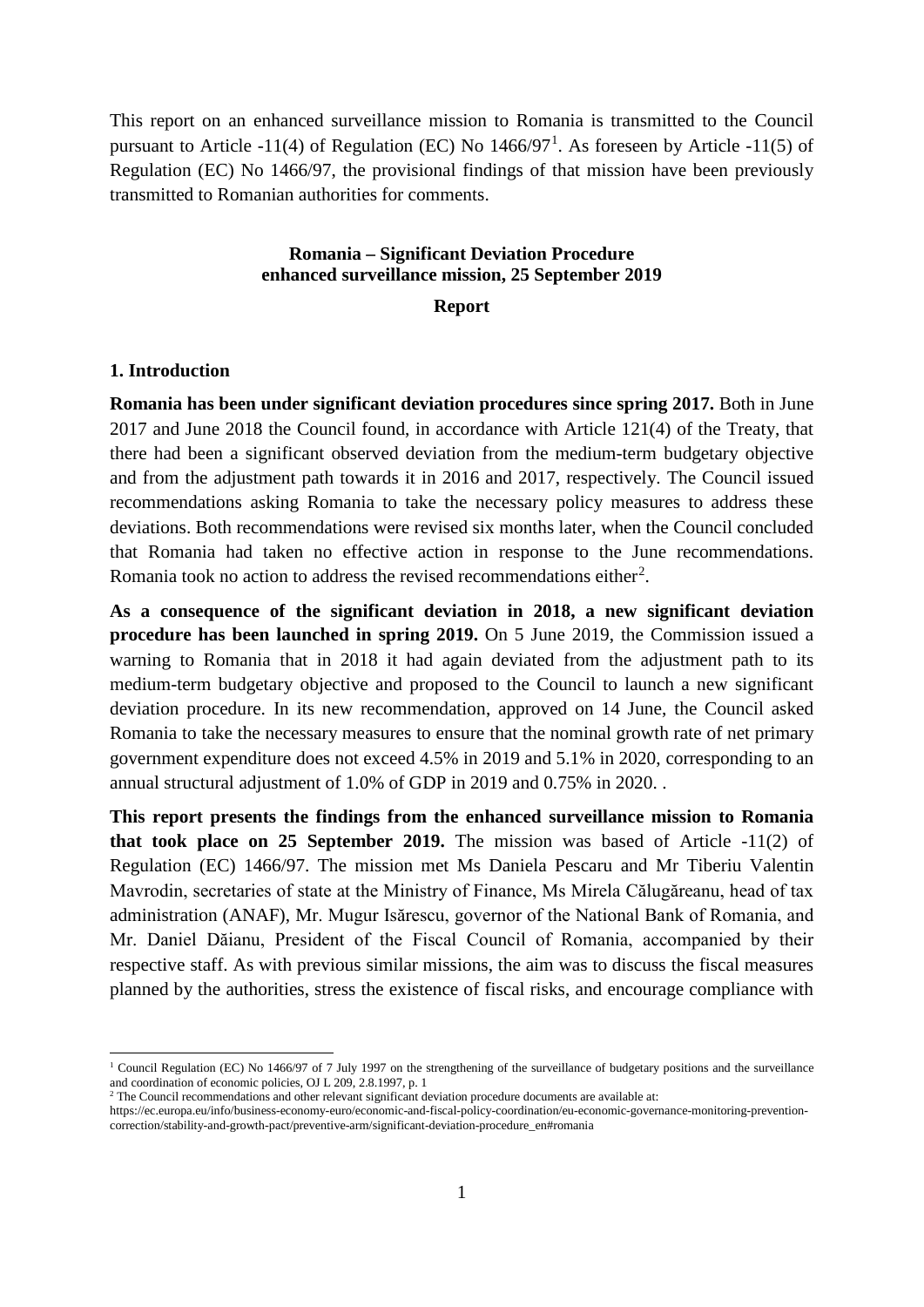This report on an enhanced surveillance mission to Romania is transmitted to the Council pursuant to Article -[1](#page-1-0)1(4) of Regulation (EC) No  $1466/97<sup>1</sup>$ . As foreseen by Article -11(5) of Regulation (EC) No 1466/97, the provisional findings of that mission have been previously transmitted to Romanian authorities for comments.

# **Romania – Significant Deviation Procedure enhanced surveillance mission, 25 September 2019**

## **Report**

### **1. Introduction**

 $\overline{a}$ 

**Romania has been under significant deviation procedures since spring 2017.** Both in June 2017 and June 2018 the Council found, in accordance with Article 121(4) of the Treaty, that there had been a significant observed deviation from the medium-term budgetary objective and from the adjustment path towards it in 2016 and 2017, respectively. The Council issued recommendations asking Romania to take the necessary policy measures to address these deviations. Both recommendations were revised six months later, when the Council concluded that Romania had taken no effective action in response to the June recommendations. Romania took no action to address the revised recommendations either<sup>[2](#page-1-1)</sup>.

**As a consequence of the significant deviation in 2018, a new significant deviation procedure has been launched in spring 2019.** On 5 June 2019, the Commission issued a warning to Romania that in 2018 it had again deviated from the adjustment path to its medium-term budgetary objective and proposed to the Council to launch a new significant deviation procedure. In its new recommendation, approved on 14 June, the Council asked Romania to take the necessary measures to ensure that the nominal growth rate of net primary government expenditure does not exceed 4.5% in 2019 and 5.1% in 2020, corresponding to an annual structural adjustment of 1.0% of GDP in 2019 and 0.75% in 2020. .

**This report presents the findings from the enhanced surveillance mission to Romania that took place on 25 September 2019.** The mission was based of Article -11(2) of Regulation (EC) 1466/97. The mission met Ms Daniela Pescaru and Mr Tiberiu Valentin Mavrodin, secretaries of state at the Ministry of Finance, Ms Mirela Călugăreanu, head of tax administration (ANAF), Mr. Mugur Isărescu, governor of the National Bank of Romania, and Mr. Daniel Dăianu, President of the Fiscal Council of Romania, accompanied by their respective staff. As with previous similar missions, the aim was to discuss the fiscal measures planned by the authorities, stress the existence of fiscal risks, and encourage compliance with

<span id="page-1-0"></span><sup>&</sup>lt;sup>1</sup> Council Regulation (EC) No 1466/97 of 7 July 1997 on the strengthening of the surveillance of budgetary positions and the surveillance and coordination of economic policies, OJ L 209, 2.8.1997, p. 1

<span id="page-1-1"></span><sup>&</sup>lt;sup>2</sup> The Council recommendations and other relevant significant deviation procedure documents are available at:

https://ec.europa.eu/info/business-economy-euro/economic-and-fiscal-policy-coordination/eu-economic-governance-monitoring-preventioncorrection/stability-and-growth-pact/preventive-arm/significant-deviation-procedure\_en#romania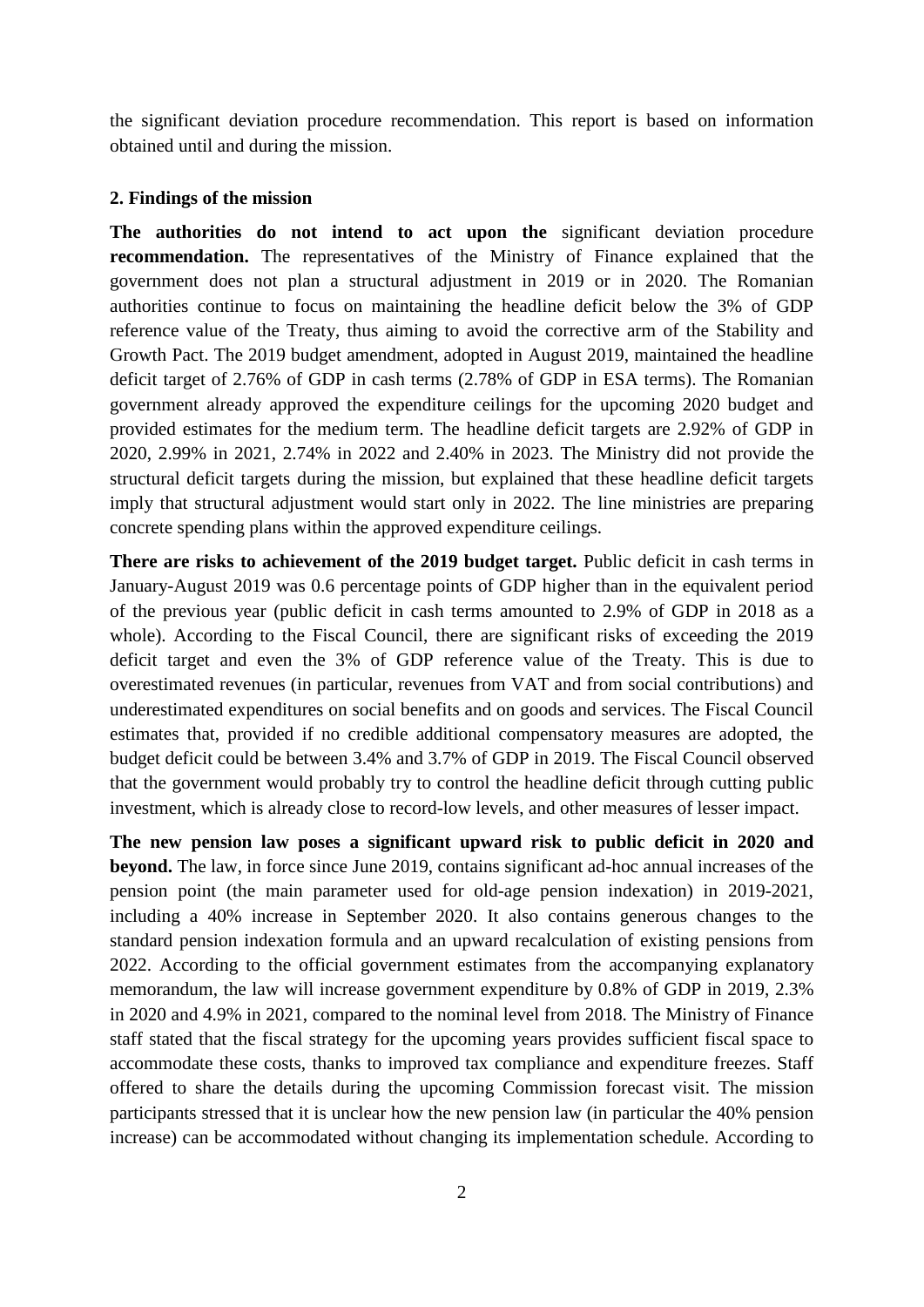the significant deviation procedure recommendation. This report is based on information obtained until and during the mission.

### **2. Findings of the mission**

**The authorities do not intend to act upon the** significant deviation procedure **recommendation.** The representatives of the Ministry of Finance explained that the government does not plan a structural adjustment in 2019 or in 2020. The Romanian authorities continue to focus on maintaining the headline deficit below the 3% of GDP reference value of the Treaty, thus aiming to avoid the corrective arm of the Stability and Growth Pact. The 2019 budget amendment, adopted in August 2019, maintained the headline deficit target of 2.76% of GDP in cash terms (2.78% of GDP in ESA terms). The Romanian government already approved the expenditure ceilings for the upcoming 2020 budget and provided estimates for the medium term. The headline deficit targets are 2.92% of GDP in 2020, 2.99% in 2021, 2.74% in 2022 and 2.40% in 2023. The Ministry did not provide the structural deficit targets during the mission, but explained that these headline deficit targets imply that structural adjustment would start only in 2022. The line ministries are preparing concrete spending plans within the approved expenditure ceilings.

**There are risks to achievement of the 2019 budget target.** Public deficit in cash terms in January-August 2019 was 0.6 percentage points of GDP higher than in the equivalent period of the previous year (public deficit in cash terms amounted to 2.9% of GDP in 2018 as a whole). According to the Fiscal Council, there are significant risks of exceeding the 2019 deficit target and even the 3% of GDP reference value of the Treaty. This is due to overestimated revenues (in particular, revenues from VAT and from social contributions) and underestimated expenditures on social benefits and on goods and services. The Fiscal Council estimates that, provided if no credible additional compensatory measures are adopted, the budget deficit could be between 3.4% and 3.7% of GDP in 2019. The Fiscal Council observed that the government would probably try to control the headline deficit through cutting public investment, which is already close to record-low levels, and other measures of lesser impact.

**The new pension law poses a significant upward risk to public deficit in 2020 and beyond.** The law, in force since June 2019, contains significant ad-hoc annual increases of the pension point (the main parameter used for old-age pension indexation) in 2019-2021, including a 40% increase in September 2020. It also contains generous changes to the standard pension indexation formula and an upward recalculation of existing pensions from 2022. According to the official government estimates from the accompanying explanatory memorandum, the law will increase government expenditure by 0.8% of GDP in 2019, 2.3% in 2020 and 4.9% in 2021, compared to the nominal level from 2018. The Ministry of Finance staff stated that the fiscal strategy for the upcoming years provides sufficient fiscal space to accommodate these costs, thanks to improved tax compliance and expenditure freezes. Staff offered to share the details during the upcoming Commission forecast visit. The mission participants stressed that it is unclear how the new pension law (in particular the 40% pension increase) can be accommodated without changing its implementation schedule. According to